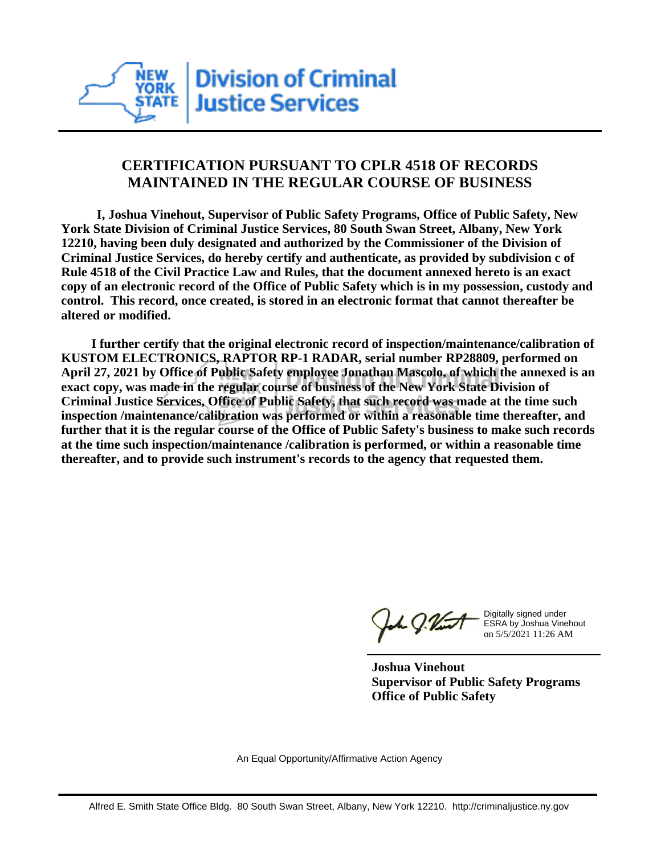

## **CERTIFICATION PURSUANT TO CPLR 4518 OF RECORDS MAINTAINED IN THE REGULAR COURSE OF BUSINESS**

 **I, Joshua Vinehout, Supervisor of Public Safety Programs, Office of Public Safety, New York State Division of Criminal Justice Services, 80 South Swan Street, Albany, New York 12210, having been duly designated and authorized by the Commissioner of the Division of Criminal Justice Services, do hereby certify and authenticate, as provided by subdivision c of Rule 4518 of the Civil Practice Law and Rules, that the document annexed hereto is an exact copy of an electronic record of the Office of Public Safety which is in my possession, custody and control. This record, once created, is stored in an electronic format that cannot thereafter be altered or modified.**

 **I further certify that the original electronic record of inspection/maintenance/calibration of KUSTOM ELECTRONICS, RAPTOR RP-1 RADAR, serial number RP28809, performed on April 27, 2021 by Office of Public Safety employee Jonathan Mascolo, of which the annexed is an exact copy, was made in the regular course of business of the New York State Division of Criminal Justice Services, Office of Public Safety, that such record was made at the time such inspection /maintenance/calibration was performed or within a reasonable time thereafter, and further that it is the regular course of the Office of Public Safety's business to make such records at the time such inspection/maintenance /calibration is performed, or within a reasonable time thereafter, and to provide such instrument's records to the agency that requested them.**

the g. Vint

Digitally signed under ESRA by Joshua Vinehout on 5/5/2021 11:26 AM

**Joshua Vinehout Supervisor of Public Safety Programs Office of Public Safety**

An Equal Opportunity/Affirmative Action Agency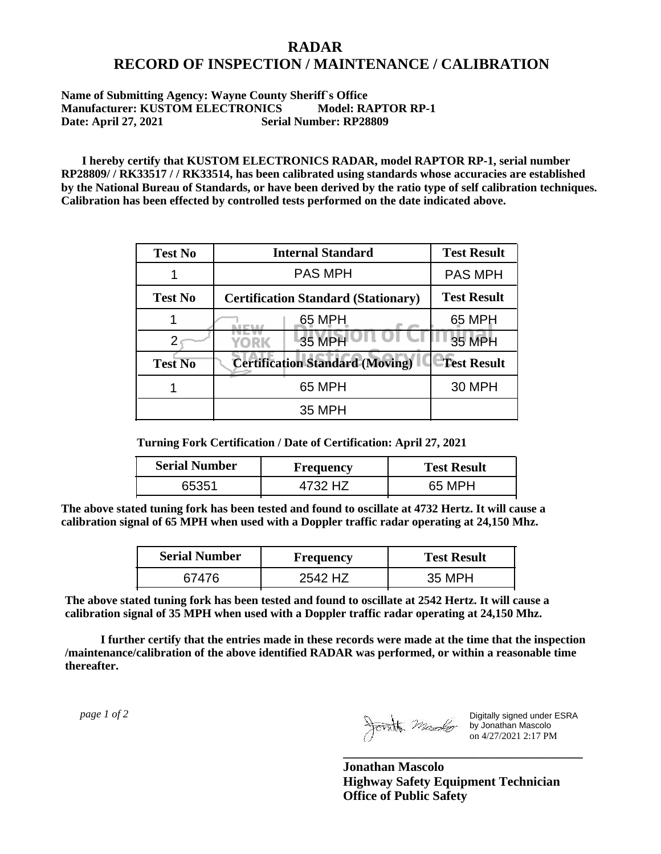## **RADAR RECORD OF INSPECTION / MAINTENANCE / CALIBRATION**

## **Name of Submitting Agency: Wayne County Sheriff`s Office Manufacturer: KUSTOM ELECTRONICS Model: RAPTOR RP-1 Date: April 27, 2021 Serial Number: RP28809**

 **I hereby certify that KUSTOM ELECTRONICS RADAR, model RAPTOR RP-1, serial number RP28809/ / RK33517 / / RK33514, has been calibrated using standards whose accuracies are established by the National Bureau of Standards, or have been derived by the ratio type of self calibration techniques. Calibration has been effected by controlled tests performed on the date indicated above.**

| <b>Test No</b> | <b>Internal Standard</b>                   | <b>Test Result</b> |
|----------------|--------------------------------------------|--------------------|
|                | <b>PAS MPH</b>                             | <b>PAS MPH</b>     |
| <b>Test No</b> | <b>Certification Standard (Stationary)</b> | <b>Test Result</b> |
|                | 65 MPH                                     | 65 MPH             |
|                | 35 MPH<br>YORK                             | 35 MPH             |
| <b>Test No</b> | <b>Certification Standard (Moving)</b>     | <b>Test Result</b> |
|                | 65 MPH                                     | <b>30 MPH</b>      |
|                | 35 MPH                                     |                    |

**Turning Fork Certification / Date of Certification: April 27, 2021**

| <b>Serial Number</b> | Frequency | <b>Test Result</b> |
|----------------------|-----------|--------------------|
| 65351                | 1732 H7   | 65 MPH             |

**The above stated tuning fork has been tested and found to oscillate at 4732 Hertz. It will cause a calibration signal of 65 MPH when used with a Doppler traffic radar operating at 24,150 Mhz.**

| <b>Serial Number</b> | <b>Frequency</b> | <b>Test Result</b> |
|----------------------|------------------|--------------------|
| 67476                | 2542 HZ          | 35 MPH             |

**The above stated tuning fork has been tested and found to oscillate at 2542 Hertz. It will cause a calibration signal of 35 MPH when used with a Doppler traffic radar operating at 24,150 Mhz.**

 **I further certify that the entries made in these records were made at the time that the inspection /maintenance/calibration of the above identified RADAR was performed, or within a reasonable time thereafter.**

 *page 1 of 2* 

Digitally signed under ESRA by Jonathan Mascolo on 4/27/2021 2:17 PM

**Jonathan Mascolo Highway Safety Equipment Technician Office of Public Safety**

**\_\_\_\_\_\_\_\_\_\_\_\_\_\_\_\_\_\_\_\_\_\_\_\_\_\_\_\_\_\_\_\_\_\_\_\_\_**